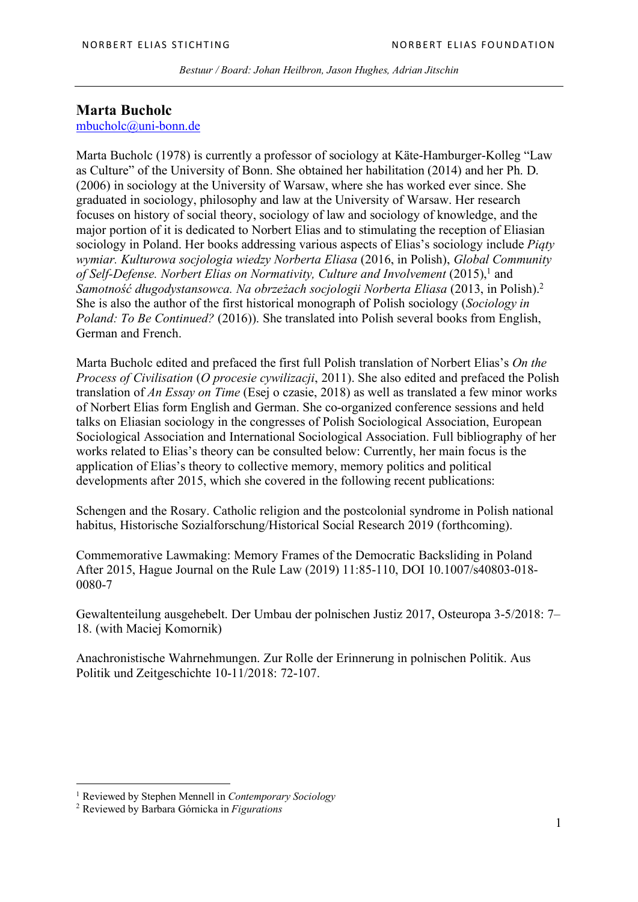# **Marta Bucholc**

# mbucholc@uni-bonn.de

Marta Bucholc (1978) is currently a professor of sociology at Käte-Hamburger-Kolleg "Law as Culture" of the University of Bonn. She obtained her habilitation (2014) and her Ph. D. (2006) in sociology at the University of Warsaw, where she has worked ever since. She graduated in sociology, philosophy and law at the University of Warsaw. Her research focuses on history of social theory, sociology of law and sociology of knowledge, and the major portion of it is dedicated to Norbert Elias and to stimulating the reception of Eliasian sociology in Poland. Her books addressing various aspects of Elias's sociology include *Piąty wymiar. Kulturowa socjologia wiedzy Norberta Eliasa* (2016, in Polish), *Global Community*  of Self-Defense. Norbert Elias on Normativity, Culture and Involvement (2015),<sup>1</sup> and *Samotność długodystansowca. Na obrzeżach socjologii Norberta Eliasa* (2013, in Polish).2 She is also the author of the first historical monograph of Polish sociology (*Sociology in Poland: To Be Continued?* (2016)). She translated into Polish several books from English, German and French.

Marta Bucholc edited and prefaced the first full Polish translation of Norbert Elias's *On the Process of Civilisation* (*O procesie cywilizacji*, 2011). She also edited and prefaced the Polish translation of *An Essay on Time* (Esej o czasie, 2018) as well as translated a few minor works of Norbert Elias form English and German. She co-organized conference sessions and held talks on Eliasian sociology in the congresses of Polish Sociological Association, European Sociological Association and International Sociological Association. Full bibliography of her works related to Elias's theory can be consulted below: Currently, her main focus is the application of Elias's theory to collective memory, memory politics and political developments after 2015, which she covered in the following recent publications:

Schengen and the Rosary. Catholic religion and the postcolonial syndrome in Polish national habitus, Historische Sozialforschung/Historical Social Research 2019 (forthcoming).

Commemorative Lawmaking: Memory Frames of the Democratic Backsliding in Poland After 2015, Hague Journal on the Rule Law (2019) 11:85-110, DOI 10.1007/s40803-018- 0080-7

Gewaltenteilung ausgehebelt. Der Umbau der polnischen Justiz 2017, Osteuropa 3-5/2018: 7– 18. (with Maciej Komornik)

Anachronistische Wahrnehmungen. Zur Rolle der Erinnerung in polnischen Politik. Aus Politik und Zeitgeschichte 10-11/2018: 72-107.

 $\overline{a}$ 

<sup>1</sup> Reviewed by Stephen Mennell in *Contemporary Sociology*

<sup>2</sup> Reviewed by Barbara Górnicka in *Figurations*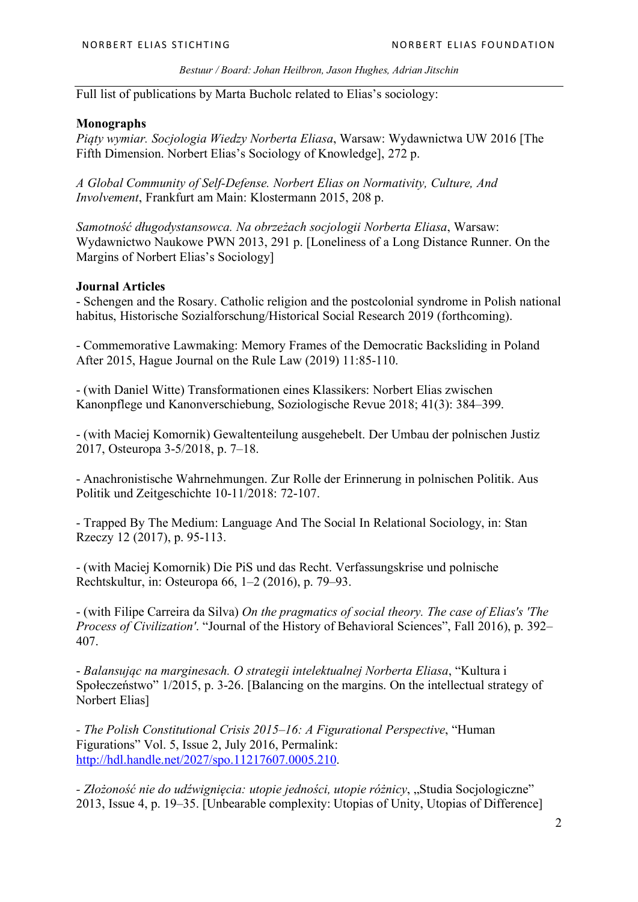Full list of publications by Marta Bucholc related to Elias's sociology:

#### **Monographs**

*Piąty wymiar. Socjologia Wiedzy Norberta Eliasa*, Warsaw: Wydawnictwa UW 2016 [The Fifth Dimension. Norbert Elias's Sociology of Knowledge], 272 p.

*A Global Community of Self-Defense. Norbert Elias on Normativity, Culture, And Involvement*, Frankfurt am Main: Klostermann 2015, 208 p.

*Samotność długodystansowca. Na obrzeżach socjologii Norberta Eliasa*, Warsaw: Wydawnictwo Naukowe PWN 2013, 291 p. [Loneliness of a Long Distance Runner. On the Margins of Norbert Elias's Sociology]

#### **Journal Articles**

- Schengen and the Rosary. Catholic religion and the postcolonial syndrome in Polish national habitus, Historische Sozialforschung/Historical Social Research 2019 (forthcoming).

- Commemorative Lawmaking: Memory Frames of the Democratic Backsliding in Poland After 2015, Hague Journal on the Rule Law (2019) 11:85-110.

- (with Daniel Witte) Transformationen eines Klassikers: Norbert Elias zwischen Kanonpflege und Kanonverschiebung, Soziologische Revue 2018; 41(3): 384–399.

- (with Maciej Komornik) Gewaltenteilung ausgehebelt. Der Umbau der polnischen Justiz 2017, Osteuropa 3-5/2018, p. 7–18.

- Anachronistische Wahrnehmungen. Zur Rolle der Erinnerung in polnischen Politik. Aus Politik und Zeitgeschichte 10-11/2018: 72-107.

- Trapped By The Medium: Language And The Social In Relational Sociology, in: Stan Rzeczy 12 (2017), p. 95-113.

- (with Maciej Komornik) Die PiS und das Recht. Verfassungskrise und polnische Rechtskultur, in: Osteuropa 66, 1–2 (2016), p. 79–93.

- (with Filipe Carreira da Silva) *On the pragmatics of social theory. The case of Elias's 'The Process of Civilization'*. "Journal of the History of Behavioral Sciences", Fall 2016), p. 392– 407.

- *Balansując na marginesach. O strategii intelektualnej Norberta Eliasa*, "Kultura i Społeczeństwo" 1/2015, p. 3-26. [Balancing on the margins. On the intellectual strategy of Norbert Elias]

*- The Polish Constitutional Crisis 2015–16: A Figurational Perspective*, "Human Figurations" Vol. 5, Issue 2, July 2016, Permalink: http://hdl.handle.net/2027/spo.11217607.0005.210.

*- Złożoność nie do udźwignięcia: utopie jedności, utopie różnicy*, "Studia Socjologiczne" 2013, Issue 4, p. 19–35. [Unbearable complexity: Utopias of Unity, Utopias of Difference]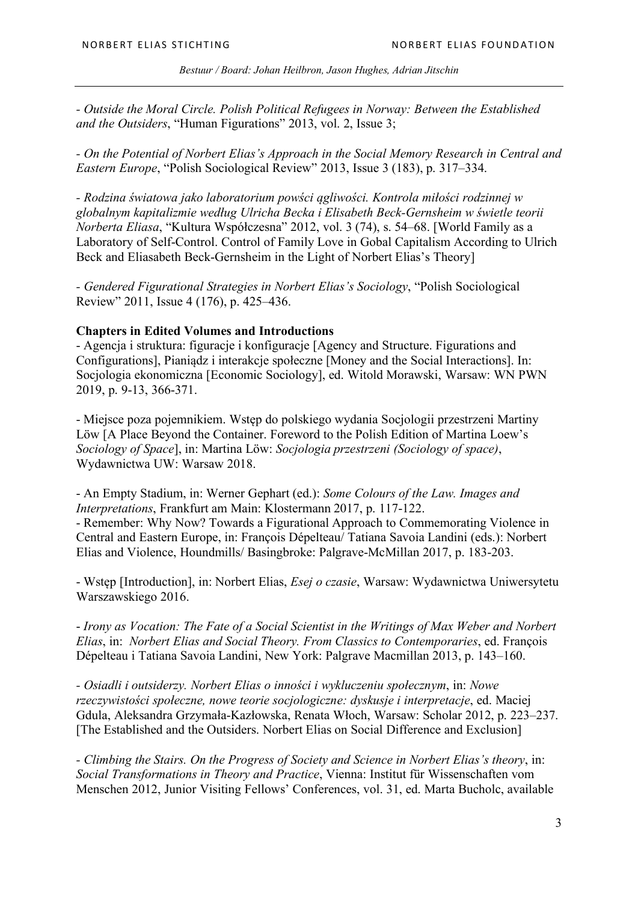*- Outside the Moral Circle. Polish Political Refugees in Norway: Between the Established and the Outsiders*, "Human Figurations" 2013, vol. 2, Issue 3;

*- On the Potential of Norbert Elias's Approach in the Social Memory Research in Central and Eastern Europe*, "Polish Sociological Review" 2013, Issue 3 (183), p. 317–334.

*- Rodzina światowa jako laboratorium powści ągliwości. Kontrola miłości rodzinnej w globalnym kapitalizmie według Ulricha Becka i Elisabeth Beck-Gernsheim w świetle teorii Norberta Eliasa*, "Kultura Współczesna" 2012, vol. 3 (74), s. 54–68. [World Family as a Laboratory of Self-Control. Control of Family Love in Gobal Capitalism According to Ulrich Beck and Eliasabeth Beck-Gernsheim in the Light of Norbert Elias's Theory]

*- Gendered Figurational Strategies in Norbert Elias's Sociology*, "Polish Sociological Review" 2011, Issue 4 (176), p. 425–436.

#### **Chapters in Edited Volumes and Introductions**

- Agencja i struktura: figuracje i konfiguracje [Agency and Structure. Figurations and Configurations], Pianiądz i interakcje społeczne [Money and the Social Interactions]. In: Socjologia ekonomiczna [Economic Sociology], ed. Witold Morawski, Warsaw: WN PWN 2019, p. 9-13, 366-371.

- Miejsce poza pojemnikiem. Wstęp do polskiego wydania Socjologii przestrzeni Martiny Löw [A Place Beyond the Container. Foreword to the Polish Edition of Martina Loew's *Sociology of Space*], in: Martina Löw: *Socjologia przestrzeni (Sociology of space)*, Wydawnictwa UW: Warsaw 2018.

- An Empty Stadium, in: Werner Gephart (ed.): *Some Colours of the Law. Images and Interpretations*, Frankfurt am Main: Klostermann 2017, p. 117-122.

- Remember: Why Now? Towards a Figurational Approach to Commemorating Violence in Central and Eastern Europe, in: François Dépelteau/ Tatiana Savoia Landini (eds.): Norbert Elias and Violence, Houndmills/ Basingbroke: Palgrave-McMillan 2017, p. 183-203.

- Wstęp [Introduction], in: Norbert Elias, *Esej o czasie*, Warsaw: Wydawnictwa Uniwersytetu Warszawskiego 2016.

- *Irony as Vocation: The Fate of a Social Scientist in the Writings of Max Weber and Norbert Elias*, in: *Norbert Elias and Social Theory. From Classics to Contemporaries*, ed. François Dépelteau i Tatiana Savoia Landini, New York: Palgrave Macmillan 2013, p. 143–160.

*- Osiadli i outsiderzy. Norbert Elias o inności i wykluczeniu społecznym*, in: *Nowe rzeczywistości społeczne, nowe teorie socjologiczne: dyskusje i interpretacje*, ed. Maciej Gdula, Aleksandra Grzymała-Kazłowska, Renata Włoch, Warsaw: Scholar 2012, p. 223–237. [The Established and the Outsiders. Norbert Elias on Social Difference and Exclusion]

*- Climbing the Stairs. On the Progress of Society and Science in Norbert Elias's theory*, in: *Social Transformations in Theory and Practice*, Vienna: Institut für Wissenschaften vom Menschen 2012, Junior Visiting Fellows' Conferences, vol. 31, ed. Marta Bucholc, available